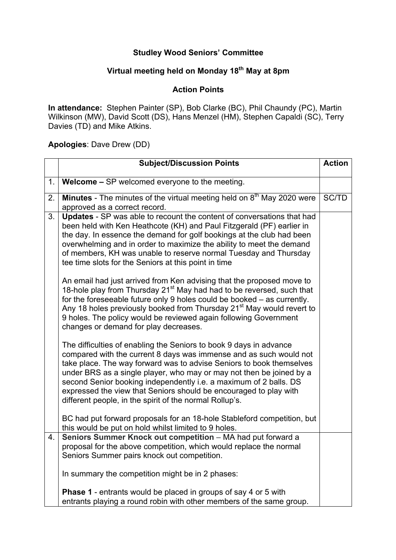## **Studley Wood Seniors' Committee**

## **Virtual meeting held on Monday 18th May at 8pm**

## **Action Points**

**In attendance:** Stephen Painter (SP), Bob Clarke (BC), Phil Chaundy (PC), Martin Wilkinson (MW), David Scott (DS), Hans Menzel (HM), Stephen Capaldi (SC), Terry Davies (TD) and Mike Atkins.

**Apologies**: Dave Drew (DD)

|    | <b>Subject/Discussion Points</b>                                                                                                                                                                                                                                                                                                                                                                                                                                                              | <b>Action</b> |
|----|-----------------------------------------------------------------------------------------------------------------------------------------------------------------------------------------------------------------------------------------------------------------------------------------------------------------------------------------------------------------------------------------------------------------------------------------------------------------------------------------------|---------------|
| 1. | <b>Welcome – SP</b> welcomed everyone to the meeting.                                                                                                                                                                                                                                                                                                                                                                                                                                         |               |
| 2. | Minutes - The minutes of the virtual meeting held on 8 <sup>th</sup> May 2020 were<br>approved as a correct record.                                                                                                                                                                                                                                                                                                                                                                           | SC/TD         |
| 3. | Updates - SP was able to recount the content of conversations that had<br>been held with Ken Heathcote (KH) and Paul Fitzgerald (PF) earlier in<br>the day. In essence the demand for golf bookings at the club had been<br>overwhelming and in order to maximize the ability to meet the demand<br>of members, KH was unable to reserve normal Tuesday and Thursday<br>tee time slots for the Seniors at this point in time                                                                  |               |
|    | An email had just arrived from Ken advising that the proposed move to<br>18-hole play from Thursday 21 <sup>st</sup> May had had to be reversed, such that<br>for the foreseeable future only 9 holes could be booked - as currently.<br>Any 18 holes previously booked from Thursday 21 <sup>st</sup> May would revert to<br>9 holes. The policy would be reviewed again following Government<br>changes or demand for play decreases.                                                       |               |
|    | The difficulties of enabling the Seniors to book 9 days in advance<br>compared with the current 8 days was immense and as such would not<br>take place. The way forward was to advise Seniors to book themselves<br>under BRS as a single player, who may or may not then be joined by a<br>second Senior booking independently i.e. a maximum of 2 balls. DS<br>expressed the view that Seniors should be encouraged to play with<br>different people, in the spirit of the normal Rollup's. |               |
|    | BC had put forward proposals for an 18-hole Stableford competition, but<br>this would be put on hold whilst limited to 9 holes.                                                                                                                                                                                                                                                                                                                                                               |               |
| 4. | Seniors Summer Knock out competition - MA had put forward a<br>proposal for the above competition, which would replace the normal<br>Seniors Summer pairs knock out competition.                                                                                                                                                                                                                                                                                                              |               |
|    | In summary the competition might be in 2 phases:                                                                                                                                                                                                                                                                                                                                                                                                                                              |               |
|    | <b>Phase 1</b> - entrants would be placed in groups of say 4 or 5 with<br>entrants playing a round robin with other members of the same group.                                                                                                                                                                                                                                                                                                                                                |               |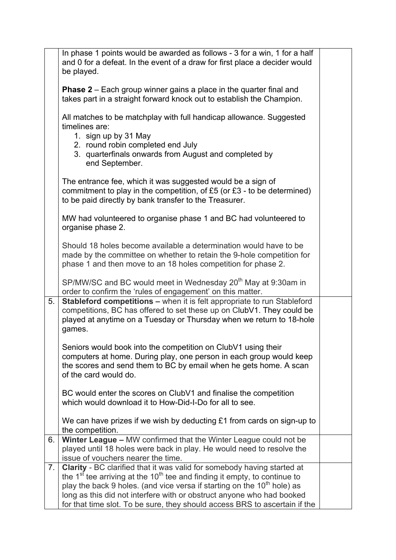|                | In phase 1 points would be awarded as follows - 3 for a win, 1 for a half<br>and 0 for a defeat. In the event of a draw for first place a decider would<br>be played.                                                                                                                                                                                                                                               |  |
|----------------|---------------------------------------------------------------------------------------------------------------------------------------------------------------------------------------------------------------------------------------------------------------------------------------------------------------------------------------------------------------------------------------------------------------------|--|
|                | <b>Phase 2</b> – Each group winner gains a place in the quarter final and<br>takes part in a straight forward knock out to establish the Champion.                                                                                                                                                                                                                                                                  |  |
|                | All matches to be matchplay with full handicap allowance. Suggested<br>timelines are:<br>1. sign up by 31 May<br>2. round robin completed end July<br>3. quarterfinals onwards from August and completed by<br>end September.                                                                                                                                                                                       |  |
|                | The entrance fee, which it was suggested would be a sign of<br>commitment to play in the competition, of $£5$ (or $£3 -$ to be determined)<br>to be paid directly by bank transfer to the Treasurer.                                                                                                                                                                                                                |  |
|                | MW had volunteered to organise phase 1 and BC had volunteered to<br>organise phase 2.                                                                                                                                                                                                                                                                                                                               |  |
|                | Should 18 holes become available a determination would have to be<br>made by the committee on whether to retain the 9-hole competition for<br>phase 1 and then move to an 18 holes competition for phase 2.                                                                                                                                                                                                         |  |
|                | SP/MW/SC and BC would meet in Wednesday 20 <sup>th</sup> May at 9:30am in<br>order to confirm the 'rules of engagement' on this matter.                                                                                                                                                                                                                                                                             |  |
| 5.             | <b>Stableford competitions - when it is felt appropriate to run Stableford</b><br>competitions, BC has offered to set these up on ClubV1. They could be<br>played at anytime on a Tuesday or Thursday when we return to 18-hole<br>games.                                                                                                                                                                           |  |
|                | Seniors would book into the competition on ClubV1 using their<br>computers at home. During play, one person in each group would keep<br>the scores and send them to BC by email when he gets home. A scan<br>of the card would do.                                                                                                                                                                                  |  |
|                | BC would enter the scores on ClubV1 and finalise the competition<br>which would download it to How-Did-I-Do for all to see.                                                                                                                                                                                                                                                                                         |  |
|                | We can have prizes if we wish by deducting £1 from cards on sign-up to<br>the competition.                                                                                                                                                                                                                                                                                                                          |  |
| 6.             | Winter League - MW confirmed that the Winter League could not be<br>played until 18 holes were back in play. He would need to resolve the<br>issue of vouchers nearer the time.                                                                                                                                                                                                                                     |  |
| 7 <sub>1</sub> | Clarity - BC clarified that it was valid for somebody having started at<br>the 1 <sup>st</sup> tee arriving at the 10 <sup>th</sup> tee and finding it empty, to continue to<br>play the back 9 holes. (and vice versa if starting on the $10^{th}$ hole) as<br>long as this did not interfere with or obstruct anyone who had booked<br>for that time slot. To be sure, they should access BRS to ascertain if the |  |